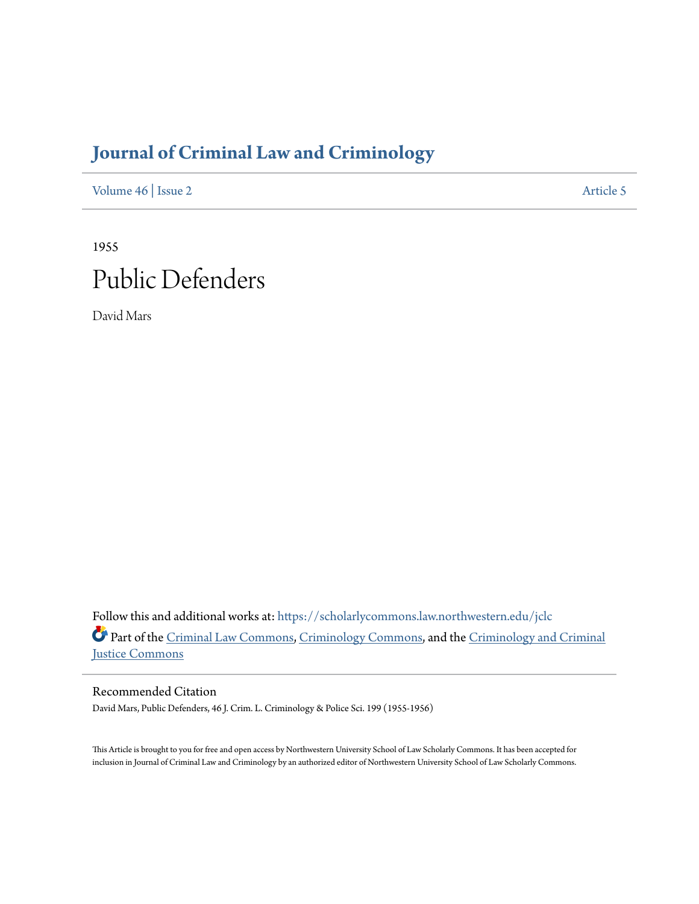# **[Journal of Criminal Law and Criminology](https://scholarlycommons.law.northwestern.edu/jclc?utm_source=scholarlycommons.law.northwestern.edu%2Fjclc%2Fvol46%2Fiss2%2F5&utm_medium=PDF&utm_campaign=PDFCoverPages)**

[Volume 46](https://scholarlycommons.law.northwestern.edu/jclc/vol46?utm_source=scholarlycommons.law.northwestern.edu%2Fjclc%2Fvol46%2Fiss2%2F5&utm_medium=PDF&utm_campaign=PDFCoverPages) | [Issue 2](https://scholarlycommons.law.northwestern.edu/jclc/vol46/iss2?utm_source=scholarlycommons.law.northwestern.edu%2Fjclc%2Fvol46%2Fiss2%2F5&utm_medium=PDF&utm_campaign=PDFCoverPages) [Article 5](https://scholarlycommons.law.northwestern.edu/jclc/vol46/iss2/5?utm_source=scholarlycommons.law.northwestern.edu%2Fjclc%2Fvol46%2Fiss2%2F5&utm_medium=PDF&utm_campaign=PDFCoverPages)

1955 Public Defenders

David Mars

Follow this and additional works at: [https://scholarlycommons.law.northwestern.edu/jclc](https://scholarlycommons.law.northwestern.edu/jclc?utm_source=scholarlycommons.law.northwestern.edu%2Fjclc%2Fvol46%2Fiss2%2F5&utm_medium=PDF&utm_campaign=PDFCoverPages) Part of the [Criminal Law Commons](http://network.bepress.com/hgg/discipline/912?utm_source=scholarlycommons.law.northwestern.edu%2Fjclc%2Fvol46%2Fiss2%2F5&utm_medium=PDF&utm_campaign=PDFCoverPages), [Criminology Commons](http://network.bepress.com/hgg/discipline/417?utm_source=scholarlycommons.law.northwestern.edu%2Fjclc%2Fvol46%2Fiss2%2F5&utm_medium=PDF&utm_campaign=PDFCoverPages), and the [Criminology and Criminal](http://network.bepress.com/hgg/discipline/367?utm_source=scholarlycommons.law.northwestern.edu%2Fjclc%2Fvol46%2Fiss2%2F5&utm_medium=PDF&utm_campaign=PDFCoverPages) [Justice Commons](http://network.bepress.com/hgg/discipline/367?utm_source=scholarlycommons.law.northwestern.edu%2Fjclc%2Fvol46%2Fiss2%2F5&utm_medium=PDF&utm_campaign=PDFCoverPages)

Recommended Citation

David Mars, Public Defenders, 46 J. Crim. L. Criminology & Police Sci. 199 (1955-1956)

This Article is brought to you for free and open access by Northwestern University School of Law Scholarly Commons. It has been accepted for inclusion in Journal of Criminal Law and Criminology by an authorized editor of Northwestern University School of Law Scholarly Commons.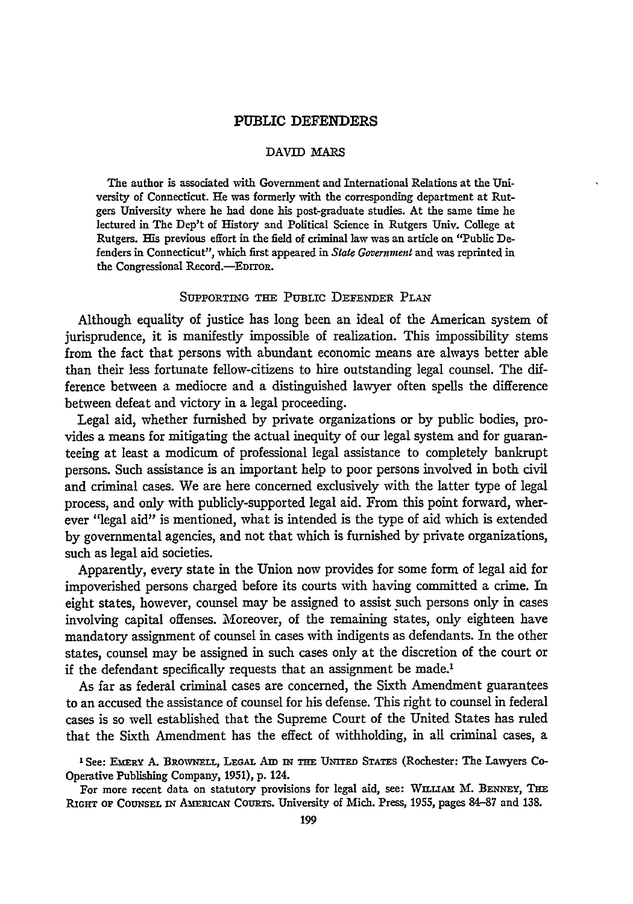#### **PUBLIC DEFENDERS**

#### DAVID MARS

The author is associated with Government and International Relations at the University of Connecticut. He was formerly with the corresponding department at Rutgers University where he had done his post-graduate studies. At the same time he lectured in The Dep't of History and Political Science in Rutgers Univ. College at Rutgers. His previous effort in the field of criminal law was an article on "Public Defenders in Connecticut", which first appeared in *State Government* and was reprinted in the Congressional Record.-EDrroR.

## SUPPORTING **THE** PUBLIc DEFENDER **PLAN**

Although equality of justice has long been an ideal of the American system of jurisprudence, it is manifestly impossible of realization. This impossibility stems from the fact that persons with abundant economic means are always better able than their less fortunate fellow-citizens to hire outstanding legal counsel. The difference between a mediocre and a distinguished lawyer often spells the difference between defeat and victory in a legal proceeding.

Legal aid, whether furnished by private organizations or by public bodies, provides a means for mitigating the actual inequity of our legal system and for guaranteeing at least a modicum of professional legal assistance to completely bankrupt persons. Such assistance is an important help to poor persons involved in both civil and criminal cases. We are here concerned exclusively with the latter type of legal process, and only with publicly-supported legal aid. From this point forward, wherever "legal aid" is mentioned, what is intended is the type of aid which is extended by governmental agencies, and not that which is furnished by private organizations, such as legal aid societies.

Apparently, every state in the Union now provides for some form of legal aid for impoverished persons charged before its courts with having committed a crime. In eight states, however, counsel may be assigned to assist such persons only in cases involving capital offenses. Moreover, of the remaining states, only eighteen have mandatory assignment of counsel in cases with indigents as defendants. In the other states, counsel may be assigned in such cases only at the discretion of the court or if the defendant specifically requests that an assignment be made.'

As far as federal criminal cases are concerned, the Sixth Amendment guarantees to an accused the assistance of counsel for his defense. This right to counsel in federal cases is so well established that the Supreme Court of the United States has ruled that the Sixth Amendment has the effect of withholding, in all criminal cases, a

**I** See: EMERY A. **BRowNELL,** LEGAL **AID** IN **=HE UNED** STATES (Rochester: The Lawyers Co-Operative Publishing Company, **1951),** p. 124.

For more recent data on statutory provisions for legal aid, see: WILLIAM M. BENNEY, THE RIGHT **OF COUNSEL** IN AmERIcAN CoURTs. University of Mich. Press, 1955, pages 84-87 and 138.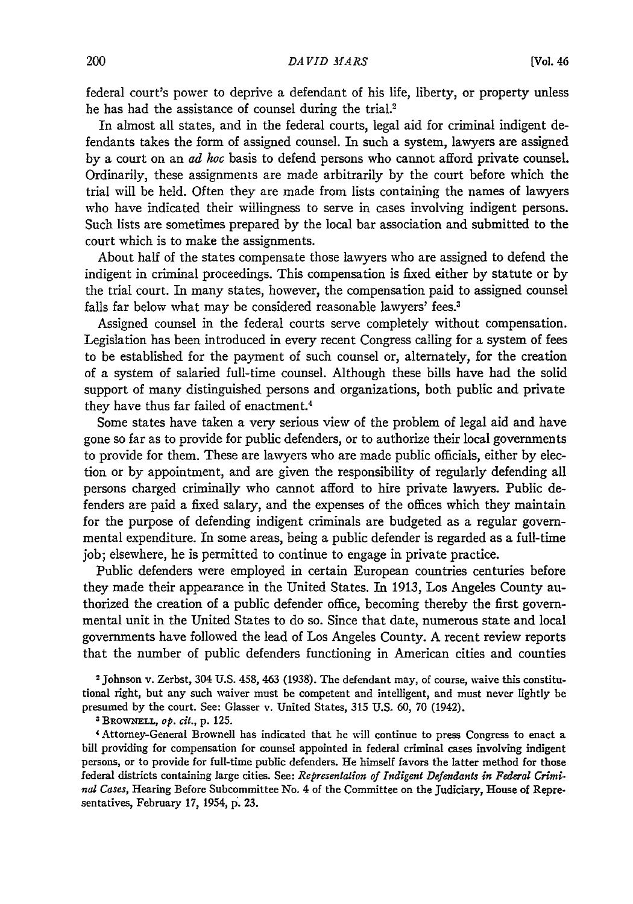federal court's power to deprive a defendant of his life, liberty, or property unless he has had the assistance of counsel during the trial.<sup>2</sup>

In almost all states, and in the federal courts, legal aid for criminal indigent defendants takes the form of assigned counsel. In such a system, lawyers are assigned by a court on an ad *hoc* basis to defend persons who cannot afford private counsel. Ordinarily, these assignments are made arbitrarily by the court before which the trial will be held. Often they are made from lists containing the names of lawyers who have indicated their willingness to serve in cases involving indigent persons. Such lists are sometimes prepared by the local bar association and submitted to the court which is to make the assignments.

About half of the states compensate those lawyers who are assigned to defend the indigent in criminal proceedings. This compensation is fixed either by statute or by the trial court. In many states, however, the compensation paid to assigned counsel falls far below what may be considered reasonable lawyers' fees.<sup>3</sup>

Assigned counsel in the federal courts serve completely without compensation. Legislation has been introduced in every recent Congress calling for a system of fees to be established for the payment of such counsel or, alternately, for the creation of a system of salaried full-time counsel. Although these bills have had the solid support of many distinguished persons and organizations, both public and private they have thus far failed of enactment.<sup>4</sup>

Some states have taken a very serious view of the problem of legal aid and have gone so far as to provide for public defenders, or to authorize their local governments to provide for them. These are lawyers who are made public officials, either by election or by appointment, and are given the responsibility of regularly defending all persons charged criminally who cannot afford to hire private lawyers. Public defenders are paid a fixed salary, and the expenses of the offices which they maintain for the purpose of defending indigent criminals are budgeted as a regular governmental expenditure. In some areas, being a public defender is regarded as a full-time job; elsewhere, he is permitted to continue to engage in private practice.

Public defenders were employed in certain European countries centuries before they made their appearance in the United States. In 1913, Los Angeles County authorized the creation of a public defender office, becoming thereby the first governmental unit in the United States to do so. Since that date, numerous state and local governments have followed the lead of Los Angeles County. A recent review reports that the number of public defenders functioning in American cities and counties

2 Johnson v. Zerbst, 304 **U.S.** 458, 463 (1938). The defendant may, of course, waive this constitutional right, but any such waiver must be competent and intelligent, and must never lightly be presumed by the court. See: Glasser v. United States, 315 U.S. *60,* 70 (1942).

**3 BROWf ELL,** *op. cit.,* p. 125.

**4** Attorney-General Brownell has indicated that he will continue to press Congress to enact a bill providing for compensation for counsel appointed in federal criminal cases involving indigent persons, or to provide for full-time public defenders. He himself favors the latter method for those federal districts containing large cities. See: *Representation of Indigent Defendants in Federal Crimi*nal Cases, Hearing Before Subcommittee No. 4 of the Committee on the Judiciary, House of Representatives, February 17, 1954, p. 23.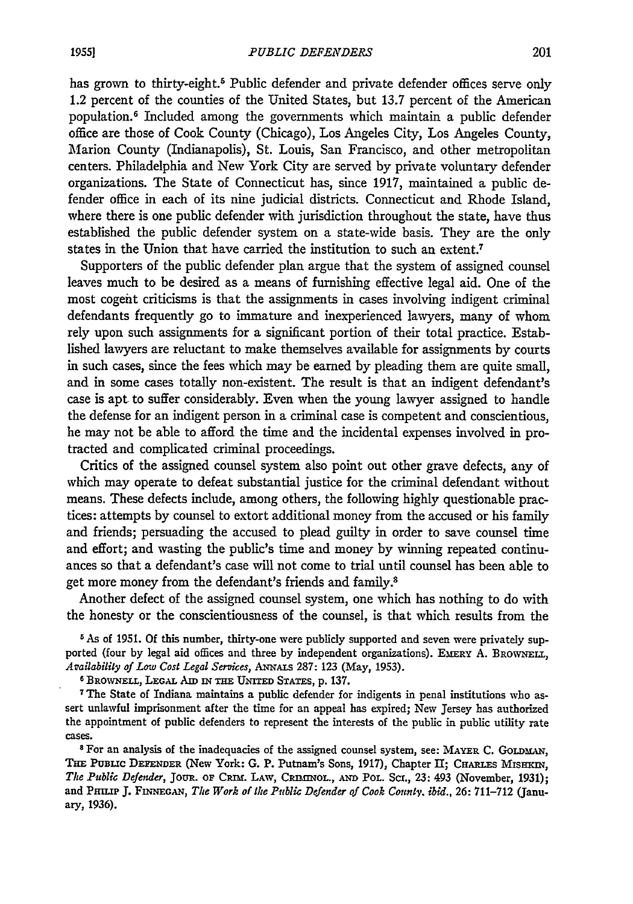has grown to thirty-eight.<sup>5</sup> Public defender and private defender offices serve only 1.2 percent of the counties of the United States, but 13.7 percent of the American population. 6 Included among the governments which maintain a public defender office are those of Cook County (Chicago), Los Angeles City, Los Angeles County, Marion County (Indianapolis), St. Louis, San Francisco, and other metropolitan centers. Philadelphia and New York City are served by private voluntary defender organizations. The State of Connecticut has, since 1917, maintained a public defender office in each of its nine judicial districts. Connecticut and Rhode Island, where there is one public defender with jurisdiction throughout the state, have thus established the public defender system on a state-wide basis. They are the only states in the Union that have carried the institution to such an extent.7

Supporters of the public defender plan argue that the system of assigned counsel leaves much to be desired as a means of furnishing effective legal aid. One of the most cogent criticisms is that the assignments in cases involving indigent criminal defendants frequently go to immature and inexperienced lawyers, many of whom rely upon such assignments for a significant portion of their total practice. Established lawyers are reluctant to make themselves available for assignments by courts in such cases, since the fees which may be earned by pleading them are quite small, and in some cases totally non-existent. The result is that an indigent defendant's case is apt to suffer considerably. Even when the young lawyer assigned to handle the defense for an indigent person in a criminal case is competent and conscientious, he may not be able to afford the time and the incidental expenses involved in protracted and complicated criminal proceedings.

Critics of the assigned counsel system also point out other grave defects, any of which may operate to defeat substantial justice for the criminal defendant without means. These defects include, among others, the following highly questionable practices: attempts by counsel to extort additional money from the accused or his family and friends; persuading the accused to plead guilty in order to save counsel time and effort; and wasting the public's time and money by winning repeated continuances so that a defendant's case will not come to trial until counsel has been able to get more money from the defendant's friends and family.8

Another defect of the assigned counsel system, one which has nothing to do with the honesty or the conscientiousness of the counsel, is that which results from the

**5** As of 1951. Of this number, thirty-one were publicly supported and seven were privately supported (four by legal aid offices and three by independent organizations). EMERY A. BROWNELL, *Availability of Low Cost Legal Services,* ANxAxs **287:** 123 (May, 1953). <sup>6</sup>

BRowNELL, **LEGAL** Am *IN THE* **UNIED STATES, p.** 137.

The State of Indiana maintains a public defender for indigents in penal institutions who assert unlawful imprisonment after the time for an appeal has expired; New Jersey has authorized the appointment of public defenders to represent the interests of the public in public utility rate cases.

**8** For an analysis of the inadequacies of the assigned counsel system, see: **MAYER** C. **GOLDmAN,** THE PUBLIC DEFENDER (New York: G. P. Putnam's Sons, 1917), Chapter II; CHARLES MISHKIN, *The Public Defender,* Jour. **oF** CRw. LAw, **CRIMIoL., AND POL. Sci.,** 23: 493 (November, 1931); and PHn **J.** *FINNEGAN, The Work of the Public Defender of Cook County. ibid.,* **26: 711-712** (January, 1936).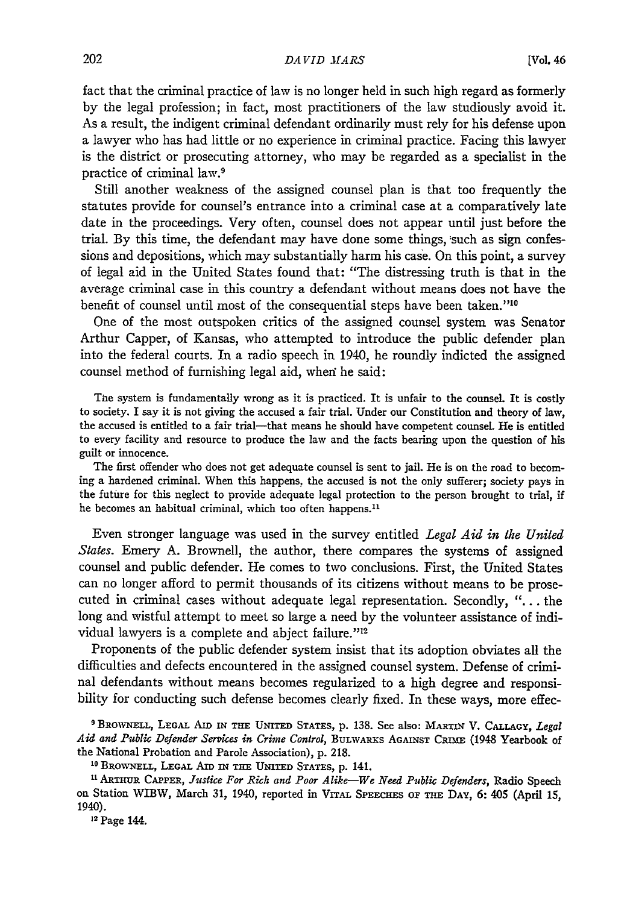fact that the criminal practice of law is no longer held in such high regard as formerly by the legal profession; in fact, most practitioners of the law studiously avoid it. As a result, the indigent criminal defendant ordinarily must rely for his defense upon a lawyer who has had little or no experience in criminal practice. Facing this lawyer is the district or prosecuting attorney, who may be regarded as a specialist in the practice of criminal law.<sup>9</sup>

Still another weakness of the assigned counsel plan is that too frequently the statutes provide for counsel's entrance into a criminal case at a comparatively late date in the proceedings. Very often, counsel does not appear until just before the trial. By this time, the defendant may have done some things, such as sign confessions and depositions, which may substantially harm his case. On this point, a survey of legal aid in the United States found that: "The distressing truth is that in the average criminal case in this country a defendant without means does not have the benefit of counsel until most of the consequential steps have been taken."'

One of the most outspoken critics of the assigned counsel system was Senator Arthur Capper, of Kansas, who attempted to introduce the public defender plan into the federal courts. In a radio speech in 1940, he roundly indicted the assigned counsel method of furnishing legal aid, wher he said:

The system is fundamentally wrong as it is practiced. It is unfair to the counsel. It is costly to society. I say it is not giving the accused a fair trial. Under our Constitution and theory of law, the accused is entitled to a fair trial-that means he should have competent counsel. He is entitled to every facility and resource to produce the law and the facts bearing upon the question of his guilt or innocence.

The first offender who does not get adequate counsel is sent to jail. He is on the road to becoming a hardened criminal. When this happens, the accused is not the only sufferer; society pays in the future for this neglect to provide adequate legal protection to the person brought to trial, if he becomes an habitual criminal, which too often happens."

Even stronger language was used in the survey entitled *Legal Aid in the United States.* Emery A. Brownell, the author, there compares the systems of assigned counsel and public defender. He comes to two conclusions. First, the United States can no longer afford to permit thousands of its citizens without means to be prosecuted in criminal cases without adequate legal representation. Secondly, **". . .** the long and wistful attempt to meet so large a need by the volunteer assistance of individual lawyers is a complete and abject failure."<sup>12</sup>

Proponents of the public defender system insist that its adoption obviates all the difficulties and defects encountered in the assigned counsel system. Defense of criminal defendants without means becomes regularized to a high degree and responsibility for conducting such defense becomes clearly fixed. In these ways, more effec-

**9 BROWNELL, LEGAL AID IN THE** UNITED **STATES, p. 138.** See also: **MARTIN** V. **CALLAGY,** *Legal Aid and Publia Defender Services in Crime Control,* BuLWARXS AGAINST CRIM (1948 **Yearbook of** the National Probation and Parole Association), p. 218.

**"** ARTHUR CAPPER, *Justice For Rich and Poor Alike-We Need Public Defenders,* Radio Speech **on** Station WIBW, March **31,** 1940, reported in VITAL **SPEECHES** oF **THE DAY, 6:** 405 (April 15, 1940).<br><sup>12</sup> Page 144.

**<sup>10</sup>** BROWNELL, **LEGAL AID IN THE UNITED STATES, p.** 141.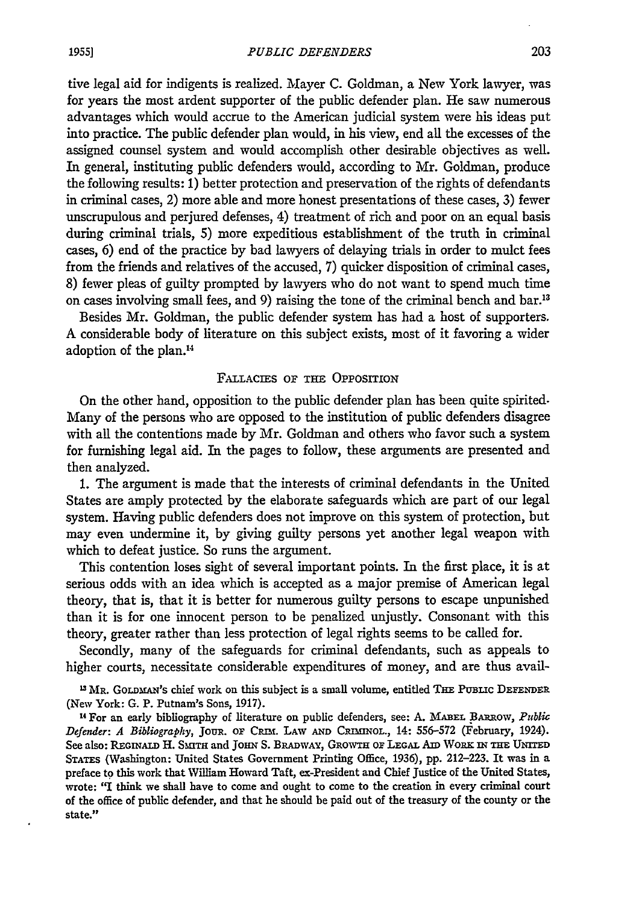tive legal aid for indigents is realized. Mayer C. Goldman, a New York lawyer, was for years the most ardent supporter of the public defender plan. He saw numerous advantages which would accrue to the American judicial system were his ideas put into practice. The public defender plan would, in his view, end all the excesses of the assigned counsel system and would accomplish other desirable objectives as well. In general, instituting public defenders would, according to Mr. Goldman, produce the following results: 1) better protection and preservation of the rights of defendants in criminal cases, 2) more able and more honest presentations of these cases, 3) fewer unscrupulous and perjured defenses, 4) treatment of rich and poor on an equal basis during criminal trials, 5) more expeditious establishment of the truth in criminal cases, 6) end of the practice by bad lawyers of delaying trials in order to mulct fees from the friends and relatives of the accused, 7) quicker disposition of criminal cases, 8) fewer pleas of guilty prompted by lawyers who do not want to spend much time on cases involving small fees, and 9) raising the tone of the criminal bench and bar.<sup>13</sup>

Besides Mr. Goldman, the public defender system has had a host of supporters. A considerable body of literature on this subject exists, most of it favoring a wider adoption of the plan.<sup>14</sup>

## FALLACIES OF THE OPPOSITION

On the other hand, opposition to the public defender plan has been quite spirited. Many of the persons who are opposed to the institution of public defenders disagree with all the contentions made by Mr. Goldman and others who favor such a system for furnishing legal aid. In the pages to follow, these arguments are presented and then analyzed.

1. The argument is made that the interests of criminal defendants in the United States are amply protected by the elaborate safeguards which are part of our legal system. Having public defenders does not improve on this system of protection, but may even undermine it, by giving guilty persons yet another legal weapon with which to defeat justice. So runs the argument.

This contention loses sight of several important points. In the first place, it is at serious odds with an idea which is accepted as a major premise of American legal theory, that is, that it is better for numerous guilty persons to escape unpunished than it is for one innocent person to be penalized unjustly. Consonant with this theory, greater rather than less protection of legal rights seems to be called for.

Secondly, many of the safeguards for criminal defendants, such as appeals to higher courts, necessitate considerable expenditures of money, and are thus avail-

<sup>13</sup> MR. GOLDMAN's chief work on this subject is a small volume, entitled THE PUBLIC DEFENDER (New York: **G.** P. Putnam's Sons, 1917).

<sup>14</sup> For an early bibliography of literature on public defenders, see: A. MABEL BARROW, Public *Defender: A Bibliography, JOUR. OF CRIM. LAW AND CRIMINOL., 14: 556-572 (February, 1924).* See also: REGINALD H. SMTH and JOHN S. BRADWAY, GROWTH OF LEGAL AID WORK IN THE UNITED STATES (Washington: United States Government Printing Office, 1936), pp. 212-223. It was in a preface to this work that William Howard Taft, ex-President and Chief Justice of the United States, wrote: "I think we shall have to come and ought to come to the creation in every criminal court of the office of public defender, and that he should be paid out of the treasury of the county or the state."

203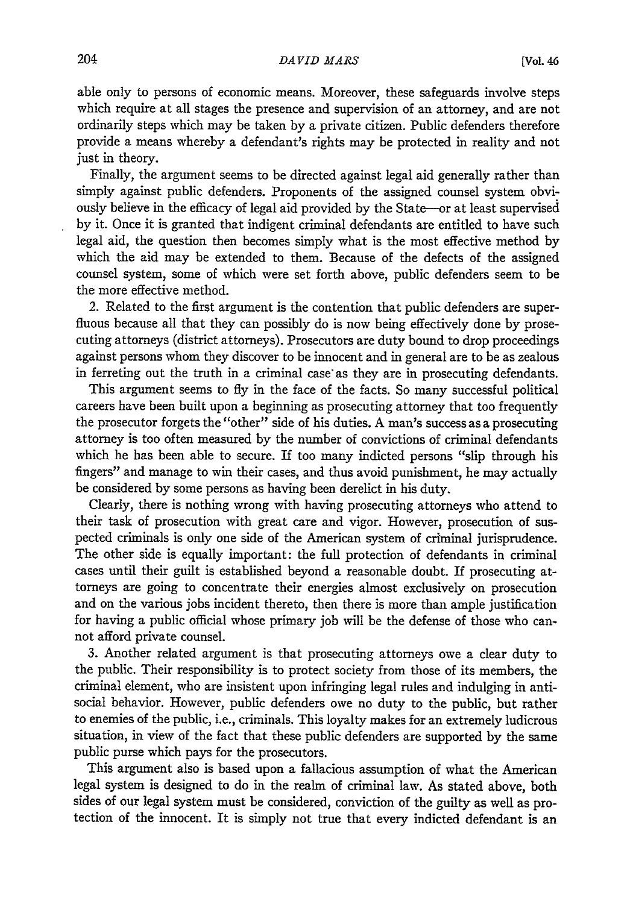able only to persons of economic means. Moreover, these safeguards involve steps which require at all stages the presence and supervision of an attorney, and are not ordinarily steps which may be taken by a private citizen. Public defenders therefore provide a means whereby a defendant's rights may be protected in reality and not just in theory.

Finally, the argument seems to be directed against legal aid generally rather than simply against public defenders. Proponents of the assigned counsel system obviously believe in the efficacy of legal aid provided by the State-or at least supervised by it. Once it is granted that indigent criminal defendants are entitled to have such legal aid, the question then becomes simply what is the most effective method by which the aid may be extended to them. Because of the defects of the assigned counsel system, some of which were set forth above, public defenders seem to be the more effective method.

2. Related to the first argument is the contention that public defenders are superfluous because all that they can possibly do is now being effectively done by prosecuting attorneys (district attorneys). Prosecutors are duty bound to drop proceedings against persons whom they discover to be innocent and in general are to be as zealous in ferreting out the truth in a criminal case'as they are in prosecuting defendants.

This argument seems to fly in the face of the facts. So many successful political careers have been built upon a beginning as prosecuting attorney that too frequently the prosecutor forgets the "other" side of his duties. A man's success as a prosecuting attorney is too often measured by the number of convictions of criminal defendants which he has been able to secure. If too many indicted persons "slip through his fingers" and manage to win their cases, and thus avoid punishment, he may actually be considered by some persons as having been derelict in his duty.

Clearly, there is nothing wrong with having prosecuting attorneys who attend to their task of prosecution with great care and vigor. However, prosecution of suspected criminals is only one side of the American system of criminal jurisprudence. The other side is equally important: the full protection of defendants in criminal cases until their guilt is established beyond a reasonable doubt. If prosecuting attorneys are going to concentrate their energies almost exclusively on prosecution and on the various jobs incident thereto, then there is more than ample justification for having a public official whose primary **job** will be the defense of those who cannot afford private counsel.

3. Another related argument is that prosecuting attorneys owe a clear duty to the public. Their responsibility is to protect society from those of its members, the criminal element, who are insistent upon infringing legal rules and indulging in antisocial behavior. However, public defenders owe no duty to the public, but rather to enemies of the public, i.e., criminals. This loyalty makes for an extremely ludicrous situation, in view of the fact that these public defenders are supported by the same public purse which pays for the prosecutors.

This argument also is based upon a fallacious assumption of what the American legal system is designed to do in the realm of criminal law. As stated above, both sides of our legal system must be considered, conviction of the guilty as well as protection of the innocent. It is simply not true that every indicted defendant is an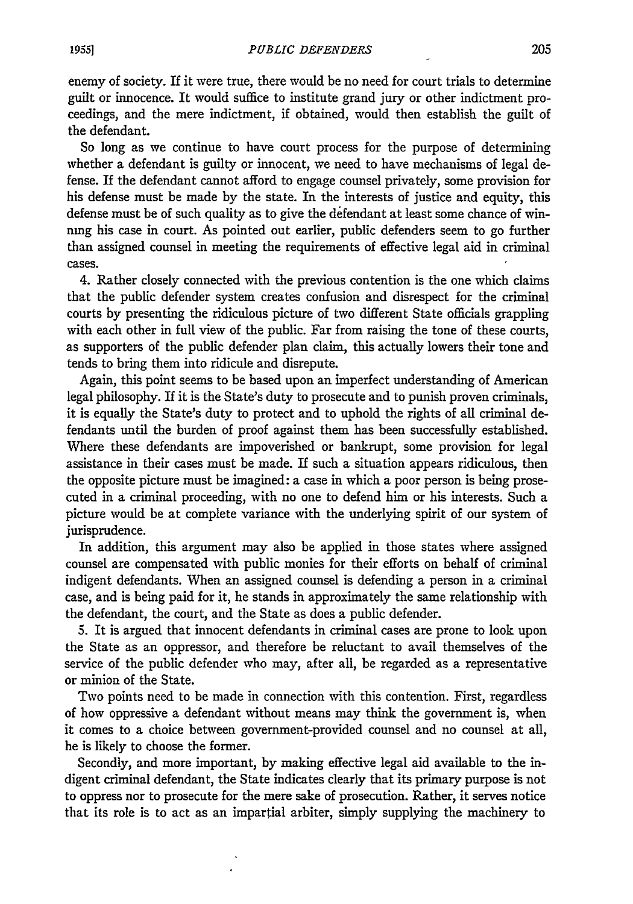enemy of society. If it were true, there would be no need for court trials to determine guilt or innocence. It would suffice to institute grand jury or other indictment proceedings, and the mere indictment, if obtained, would then establish the guilt of the defendant.

So long as we continue to have court process for the purpose of determining whether a defendant is guilty or innocent, we need to have mechanisms of legal defense. If the defendant cannot afford to engage counsel privately, some provision for his defense must be made by the state. In the interests of justice and equity, this defense must be of such quality as to give the defendant at least some chance of winnmg his case in court. As pointed out earlier, public defenders seem to go further than assigned counsel in meeting the requirements of effective legal aid in criminal cases.

4. Rather closely connected with the previous contention is the one which claims that the public defender system creates confusion and disrespect for the criminal courts by presenting the ridiculous picture of two different State officials grappling with each other in full view of the public. Far from raising the tone of these courts, as supporters of the public defender plan claim, this actually lowers their tone and tends to bring them into ridicule and disrepute.

Again, this point seems to be based upon an imperfect understanding of American legal philosophy. If it is the State's duty to prosecute and to punish proven criminals, it is equally the State's duty to protect and to uphold the rights of all criminal defendants until the burden of proof against them has been successfully established. Where these defendants are impoverished or bankrupt, some provision for legal assistance in their cases must be made. If such a situation appears ridiculous, then the opposite picture must be imagined: a case in which a poor person is being prosecuted in a criminal proceeding, with no one to defend him or his interests. Such a picture would be at complete variance with the underlying spirit of our system of jurisprudence.

In addition, this argument may also be applied in those states where assigned counsel are compensated with public monies for their efforts on behalf of criminal indigent defendants. When an assigned counsel is defending a person in a criminal case, and is being paid for it, he stands in approximately the same relationship with the defendant, the court, and the State as does a public defender.

5. It is argued that innocent defendants in criminal cases are prone to look upon the State as an oppressor, and therefore be reluctant to avail themselves of the service of the public defender who may, after all, be regarded as a representative or minion of the State.

Two points need to be made in connection with this contention. First, regardless of how oppressive a defendant without means may think the government is, when it comes to a choice between government-provided counsel and no counsel at all, he is likely to choose the former.

Secondly, and more important, by making effective legal aid available to the indigent criminal defendant, the State indicates clearly that its primary purpose is not to oppress nor to prosecute for the mere sake of prosecution. Rather, it serves notice that its role is to act as an impartial arbiter, simply supplying the machinery to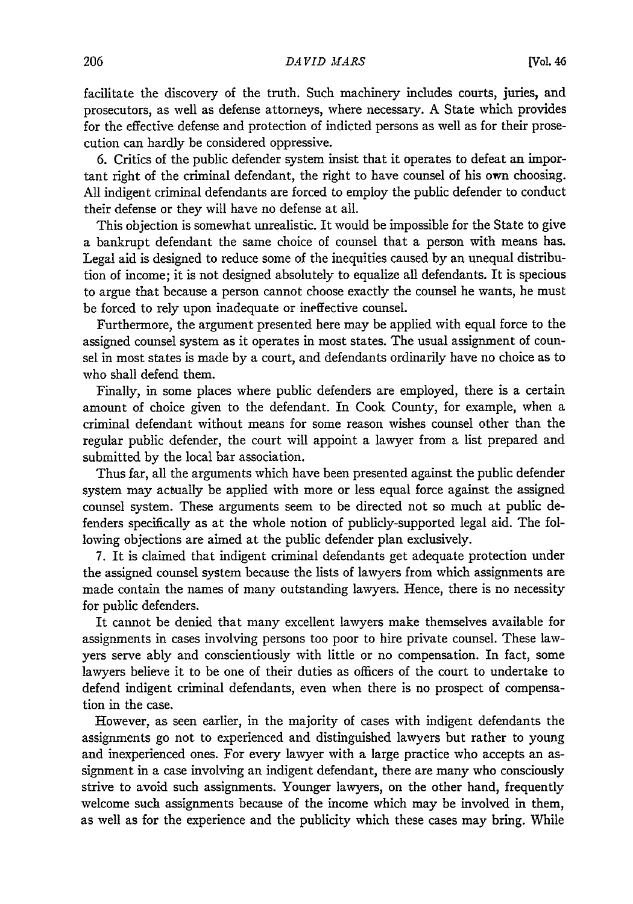facilitate the discovery of the truth. Such machinery includes courts, juries, and prosecutors, as well as defense attorneys, where necessary. A State which provides for the effective defense and protection of indicted persons as well as for their prosecution can hardly be considered oppressive.

6. Critics of the public defender system insist that it operates to defeat an important right of the criminal defendant, the right to have counsel of his own choosing. All indigent criminal defendants are forced to employ the public defender to conduct their defense or they will have no defense at all.

This objection is somewhat unrealistic. It would be impossible for the State to give a bankrupt defendant the same choice of counsel that a person with means has. Legal aid is designed to reduce some of the inequities caused by an unequal distribution of income; it is not designed absolutely to equalize all defendants. It is specious to argue that because a person cannot choose exactly the counsel he wants, he must be forced to rely upon inadequate or ineffective counsel.

Furthermore, the argument presented here may be applied with equal force to the assigned counsel system as it operates in most states. The usual assignment of counsel in most states is made by a court, and defendants ordinarily have no choice as to who shall defend them.

Finally, in some places where public defenders are employed, there is a certain amount of choice given to the defendant. In Cook County, for example, when a criminal defendant without means for some reason wishes counsel other than the regular public defender, the court will appoint a lawyer from a list prepared and submitted by the local bar association.

Thus far, all the arguments which have been presented against the public defender system may actually be applied with more or less equal force against the assigned counsel system. These arguments seem to be directed not so much at public defenders specifically as at the whole notion of publicly-supported legal aid. The following objections are aimed at the public defender plan exclusively.

7. It is claimed that indigent criminal defendants get adequate protection under the assigned counsel system because the lists of lawyers from which assignments are made contain the names of many outstanding lawyers. Hence, there is no necessity for public defenders.

It cannot be denied that many excellent lawyers make themselves available for assignments in cases involving persons too poor to hire private counsel. These lawyers serve ably and conscientiously with little or no compensation. In fact, some lawyers believe it to be one of their duties as officers of the court to undertake to defend indigent criminal defendants, even when there is no prospect of compensation in the case.

However, as seen earlier, in the majority of cases with indigent defendants the assignments go not to experienced and distinguished lawyers but rather to young and inexperienced ones. For every lawyer with a large practice who accepts an assignment in a case involving an indigent defendant, there are many who consciously strive to avoid such assignments. Younger lawyers, on the other hand, frequently welcome such assignments because of the income which may be involved in them, as well as for the experience and the publicity which these cases may bring. While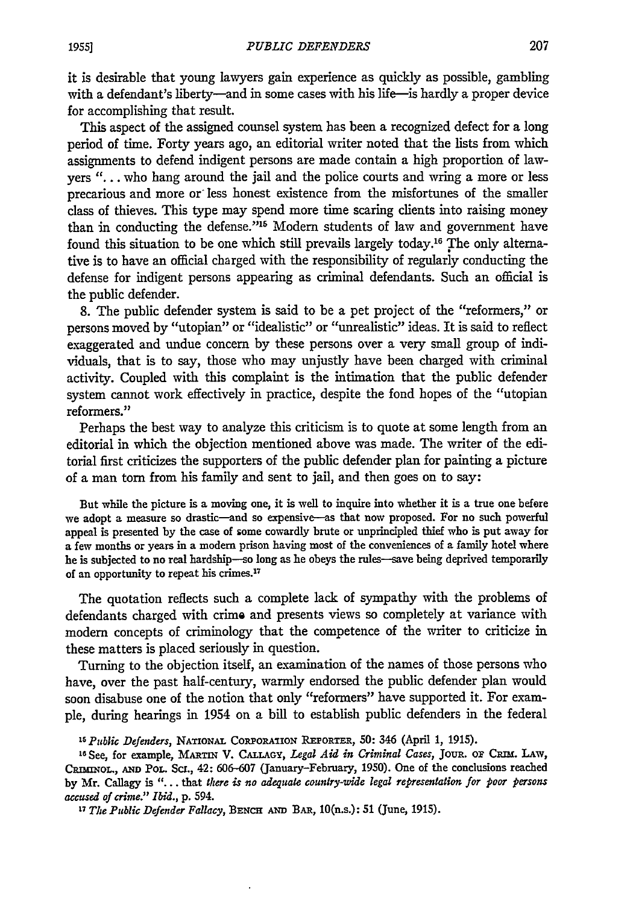it is desirable that young lawyers gain experience as quickly as possible, gambling with a defendant's liberty-and in some cases with his life-is hardly a proper device for accomplishing that result.

This aspect of the assigned counsel system has been a recognized defect for a long period of time. Forty years ago, an editorial writer noted that the lists from which assignments to defend indigent persons are made contain a high proportion of lawyers **"...** . who hang around the jail and the police courts and wring a more or less precarious and more or Iess honest existence from the misfortunes of the smaller class of thieves. This type may spend more time scaring clients into raising money than in conducting the defense."15 Modem students of law and government have found this situation to be one which still prevails largely today.16 The only altemative is to have an official charged with the responsibility of regularly conducting the defense for indigent persons appearing as criminal defendants. Such an official is the public defender.

8. The public defender system is said to be a pet project of the "reformers," or persons moved by "utopian" or "idealistic" or "unrealistic" ideas. It is said to reflect exaggerated and undue concern by these persons over a very small group of individuals, that is to say, those who may unjustly have been charged with criminal activity. Coupled with this complaint is the intimation that the public defender system cannot work effectively in practice, despite the fond hopes of the "utopian reformers."

Perhaps the best way to analyze this criticism is to quote at some length from an editorial in which the objection mentioned above was made. The writer of the editorial first criticizes the supporters of the public defender plan for painting a picture of a man torn from his family and sent to jail, and then goes on to say:

But while the picture is a moving one, it is well to inquire into whether it is a true one before we adopt a measure so drastic-and so expensive-as that now proposed. For no such powerful appeal is presented by the case of some cowardly brute or unprincipled thief who is put away for a few months or years in a modem prison having most of the conveniences of a family hotel where he is subjected to no real hardship--so long as he obeys the rules--save being deprived temporarily of an opportunity to repeat his crimes.17

The quotation reflects such a complete lack of sympathy with the problems of defendants charged with crime and presents views so completely at variance with modem concepts of criminology that the competence of the writer to criticize in these matters is placed seriously in question.

Turning to the objection itself, an examination of the names of those persons who have, over the past half-century, warmly endorsed the public defender plan would soon disabuse one of the notion that only "reformers" have supported it. For example, during hearings in 1954 on a bill to establish public defenders in the federal

*15 Public Defenders,* NATIONAL **CORPORAnION REPORTER,** 50: 346 (April **1, 1915).**

16 See, for example, MARTIN V. CALLAGY, Legal Aid in Criminal Cases, JOUR. OF CRIM. LAW, CRIMINOL., AND POL. SCI., 42: 606-607 (January-February, 1950). One of the conclusions reached **by** Mr. Callagy is **"...** that *there* is *no adequate country-wide legal representation for poor Persons accused of crime." Ibid.,* p. 594.

**<sup>17</sup>***The Public Defender Fallacy,* BENcH **AND** BAR, 10(n.s.): 51 (June, 1915).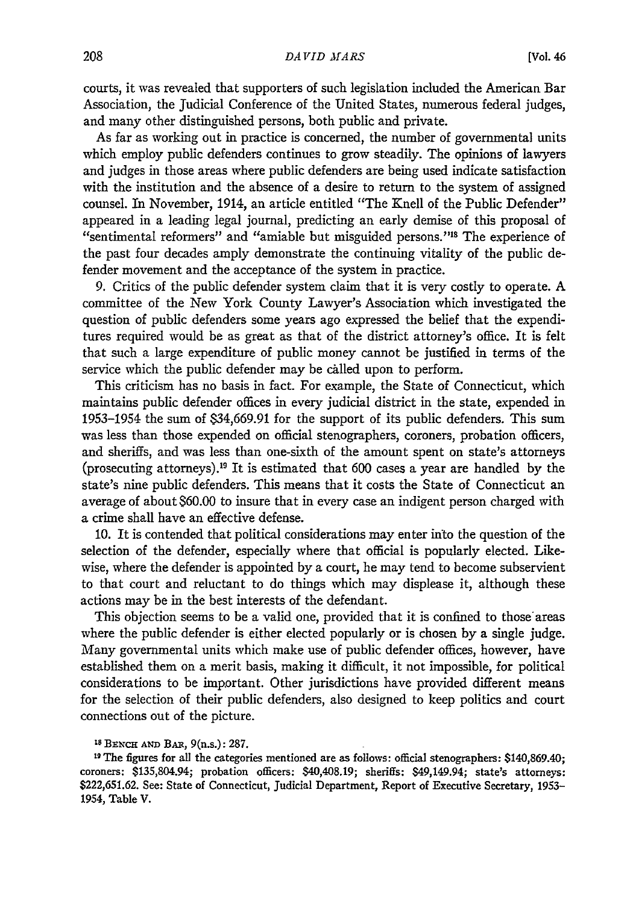courts, it was revealed that supporters of such legislation included the American Bar Association, the Judicial Conference of the United States, numerous federal judges, and many other distinguished persons, both public and private.

As far as working out in practice is concerned, the number of governmental units which employ public defenders continues to grow steadily. The opinions of lawyers and judges in those areas where public defenders are being used indicate satisfaction with the institution and the absence of a desire to return to the system of assigned counsel. In November, 1914, an article entitled "The Knell of the Public Defender" appeared in a leading legal journal, predicting an early demise of this proposal of "sentimental reformers" and "amiable but misguided persons."<sup>18</sup> The experience of the past four decades amply demonstrate the continuing vitality of the public defender movement and the acceptance of the system in practice.

9. Critics of the public defender system claim that it is very costly to operate. A committee of the New York County Lawyer's Association which investigated the question of public defenders some years ago expressed the belief that the expenditures required would be as great as that of the district attorney's office. It is felt that such a large expenditure of public money cannot be justified in terms of the service which the public defender may be called upon to perform.

This criticism has no basis in fact. For example, the State of Connecticut, which maintains public defender offices in every judicial district in the state, expended in 1953-1954 the sum of \$34,669.91 for the support of its public defenders. This sum was less than those expended on official stenographers, coroners, probation officers, and sheriffs, and was less than one-sixth of the amount spent on state's attorneys (prosecuting attorneys). 9 It is estimated that **600** cases a year are handled by the state's nine public defenders. This means that it costs the State of Connecticut an average of about **\$60.00** to insure that in every case an indigent person charged with a crime shall have an effective defense.

**10.** It is contended that political considerations may enter into the question of the selection of the defender, especially where that official is popularly elected. Likewise, where the defender is appointed by a court, he may tend to become subservient to that court and reluctant to do things which may displease it, although these actions may be in the best interests of the defendant.

This objection seems to be a valid one, provided that it is confined to those'areas where the public defender is either elected popularly or is chosen by a single judge. Many governmental units which make use of public defender offices, however, have established them on a merit basis, making it difficult, it not impossible, for political considerations to be important. Other jurisdictions have provided different means for the selection of their public defenders, also designed to keep politics and court connections out of the picture.

#### **Is B C H AND** BAR, 9(n.s.): **287.**

**19 The** figures for all the categories mentioned **are** as follows: official stenographers: \$140,869.40; coroners: \$135,804.94; probation officers: \$40,408.19; sheriffs: \$49,149.94; state's attorneys: **\$222,651.62.** See: State of Connecticut, Judicial Department, Report of Executive Secretary, **1953-** 1954, Table V.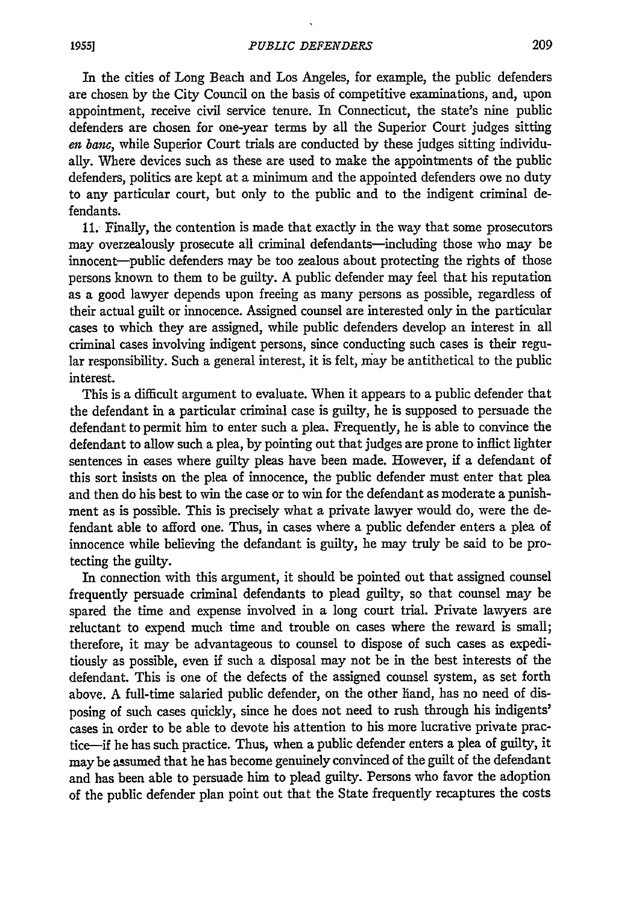In the cities of Long Beach and Los Angeles, for example, the public defenders are chosen by the City Council on the basis of competitive examinations, and, upon appointment, receive civil service tenure. In Connecticut, the state's nine public defenders are chosen for one-year terms by all the Superior Court judges sitting *en banc,* while Superior Court trials are conducted by these judges sitting individually. Where devices such as these are used to make the appointments of the public defenders, politics are kept at a minimum and the appointed defenders owe no duty to any particular court, but only to the public and to the indigent criminal defendants.

**11.** Finally, the contention is made that exactly in the way that some prosecutors may overzealously prosecute all criminal defendants-including those who may be innocent-public defenders may be too zealous about protecting the rights of those persons known to them to be guilty. A public defender may feel that his reputation as a good lawyer depends upon freeing as many persons as possible, regardless of their actual guilt or innocence. Assigned counsel are interested only in the particular cases to which they are assigned, while public defenders develop an interest in all criminal cases involving indigent persons, since conducting such cases is their regular responsibility. Such a general interest, it is felt, may be antithetical to the public interest.

This is a difficult argument to evaluate. When it appears to a public defender that the defendant in a particular criminal case is guilty, he is supposed to persuade the defendant to permit him to enter such a plea. Frequently, he is able to convince the defendant to allow such a plea, by pointing out that judges are prone to inflict lighter sentences in eases where guilty pleas have been made. However, if a defendant of this sort insists on the plea of innocence, the public defender must enter that plea and then do his best to win the case or to win for the defendant as moderate a punishment as is possible. This is precisely what a private lawyer would do, were the defendant able to afford one. Thus, in cases where a public defender enters a plea of innocence while believing the defandant is guilty, he may truly be said to be protecting the guilty.

In connection with this argument, it should be pointed out that assigned counsel frequently persuade criminal defendants to plead guilty, so that counsel may be spared the time and expense involved in a long court trial. Private lawyers are reluctant to expend much time and trouble on cases where the reward is small; therefore, it may be advantageous to counsel to dispose of such cases as expeditiously as possible, even if such a disposal may not be in the best interests of the defendant. This is one of the defects of the assigned counsel system, as set forth above. A full-time salaried public defender, on the other hand, has no need of disposing of such cases quickly, since he does not need to rush through his indigents' cases in order to be able to devote his attention to his more lucrative private practice-if he has such practice. Thus, when a public defender enters a plea of guilty, it may be assumed that he has become genuinely convinced of the guilt of the defendant and has been able to persuade him to plead guilty. Persons who favor the adoption of the public defender plan point out that the State frequently recaptures the costs